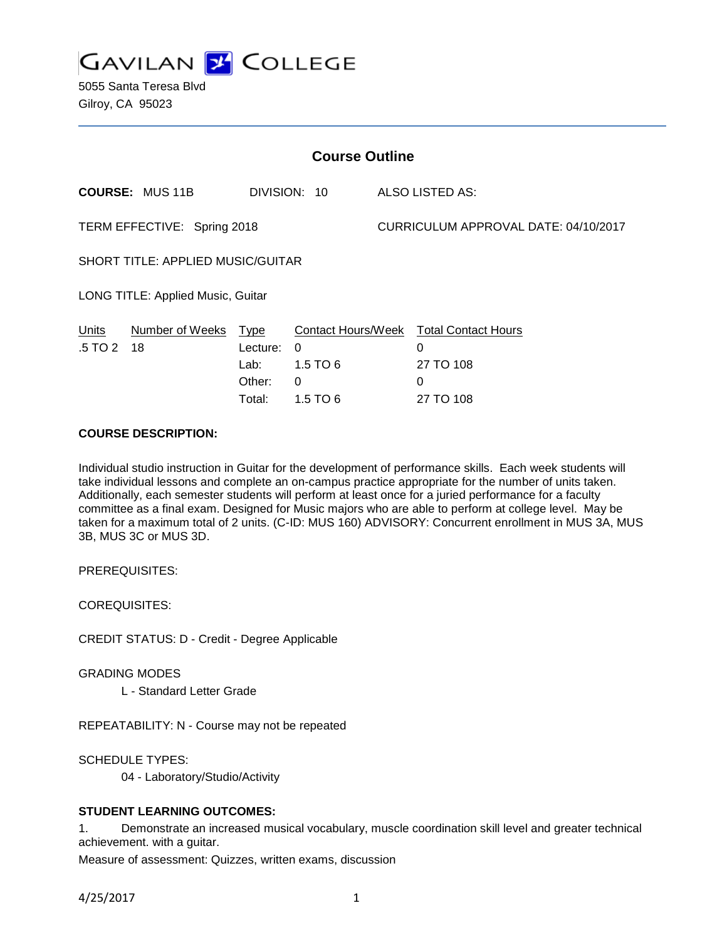

5055 Santa Teresa Blvd Gilroy, CA 95023

| <b>Course Outline</b>                    |                            |                                      |                                                |                                      |                                                                            |
|------------------------------------------|----------------------------|--------------------------------------|------------------------------------------------|--------------------------------------|----------------------------------------------------------------------------|
|                                          | <b>COURSE: MUS 11B</b>     |                                      | DIVISION: 10                                   |                                      | ALSO LISTED AS:                                                            |
| TERM EFFECTIVE: Spring 2018              |                            |                                      |                                                | CURRICULUM APPROVAL DATE: 04/10/2017 |                                                                            |
| <b>SHORT TITLE: APPLIED MUSIC/GUITAR</b> |                            |                                      |                                                |                                      |                                                                            |
| LONG TITLE: Applied Music, Guitar        |                            |                                      |                                                |                                      |                                                                            |
| <b>Units</b><br>.5 TO 2                  | Number of Weeks Type<br>18 | Lecture:<br>Lab:<br>Other:<br>Total: | $\Omega$<br>1.5 TO 6<br>$\Omega$<br>1.5 TO $6$ |                                      | Contact Hours/Week Total Contact Hours<br>0<br>27 TO 108<br>0<br>27 TO 108 |

## **COURSE DESCRIPTION:**

Individual studio instruction in Guitar for the development of performance skills. Each week students will take individual lessons and complete an on-campus practice appropriate for the number of units taken. Additionally, each semester students will perform at least once for a juried performance for a faculty committee as a final exam. Designed for Music majors who are able to perform at college level. May be taken for a maximum total of 2 units. (C-ID: MUS 160) ADVISORY: Concurrent enrollment in MUS 3A, MUS 3B, MUS 3C or MUS 3D.

PREREQUISITES:

COREQUISITES:

CREDIT STATUS: D - Credit - Degree Applicable

GRADING MODES

L - Standard Letter Grade

REPEATABILITY: N - Course may not be repeated

SCHEDULE TYPES:

04 - Laboratory/Studio/Activity

### **STUDENT LEARNING OUTCOMES:**

1. Demonstrate an increased musical vocabulary, muscle coordination skill level and greater technical achievement. with a guitar.

Measure of assessment: Quizzes, written exams, discussion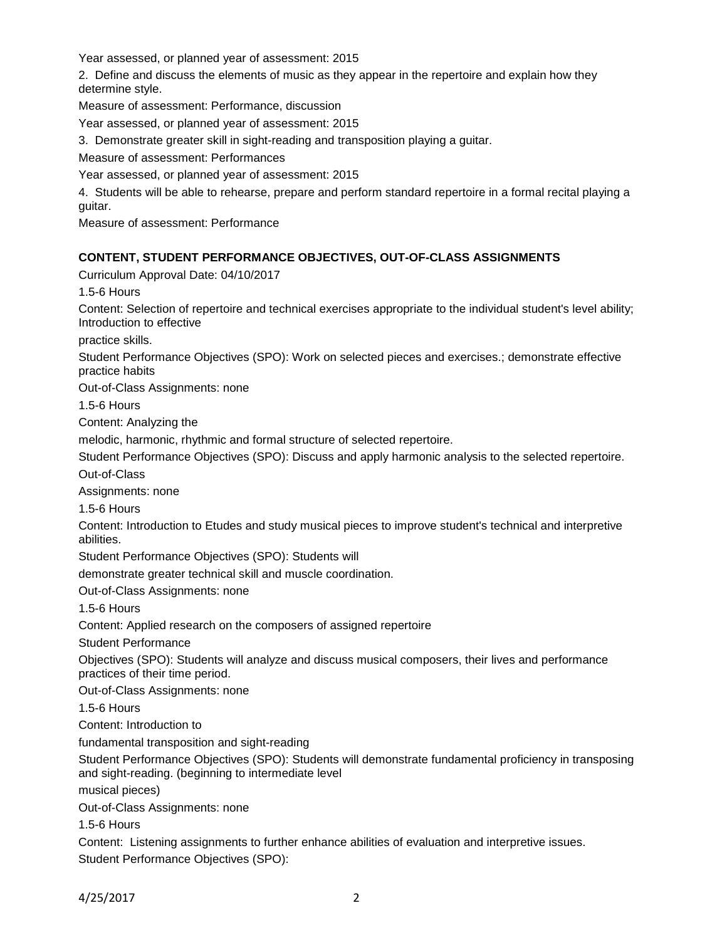Year assessed, or planned year of assessment: 2015

2. Define and discuss the elements of music as they appear in the repertoire and explain how they determine style.

Measure of assessment: Performance, discussion

Year assessed, or planned year of assessment: 2015

3. Demonstrate greater skill in sight-reading and transposition playing a guitar.

Measure of assessment: Performances

Year assessed, or planned year of assessment: 2015

4. Students will be able to rehearse, prepare and perform standard repertoire in a formal recital playing a guitar.

Measure of assessment: Performance

### **CONTENT, STUDENT PERFORMANCE OBJECTIVES, OUT-OF-CLASS ASSIGNMENTS**

Curriculum Approval Date: 04/10/2017

1.5-6 Hours

Content: Selection of repertoire and technical exercises appropriate to the individual student's level ability; Introduction to effective

practice skills.

Student Performance Objectives (SPO): Work on selected pieces and exercises.; demonstrate effective practice habits

Out-of-Class Assignments: none

1.5-6 Hours

Content: Analyzing the

melodic, harmonic, rhythmic and formal structure of selected repertoire.

Student Performance Objectives (SPO): Discuss and apply harmonic analysis to the selected repertoire.

Out-of-Class

Assignments: none

1.5-6 Hours

Content: Introduction to Etudes and study musical pieces to improve student's technical and interpretive abilities.

Student Performance Objectives (SPO): Students will

demonstrate greater technical skill and muscle coordination.

Out-of-Class Assignments: none

1.5-6 Hours

Content: Applied research on the composers of assigned repertoire

Student Performance

Objectives (SPO): Students will analyze and discuss musical composers, their lives and performance practices of their time period.

Out-of-Class Assignments: none

1.5-6 Hours

Content: Introduction to

fundamental transposition and sight-reading

Student Performance Objectives (SPO): Students will demonstrate fundamental proficiency in transposing and sight-reading. (beginning to intermediate level

musical pieces)

Out-of-Class Assignments: none

1.5-6 Hours

Content: Listening assignments to further enhance abilities of evaluation and interpretive issues. Student Performance Objectives (SPO):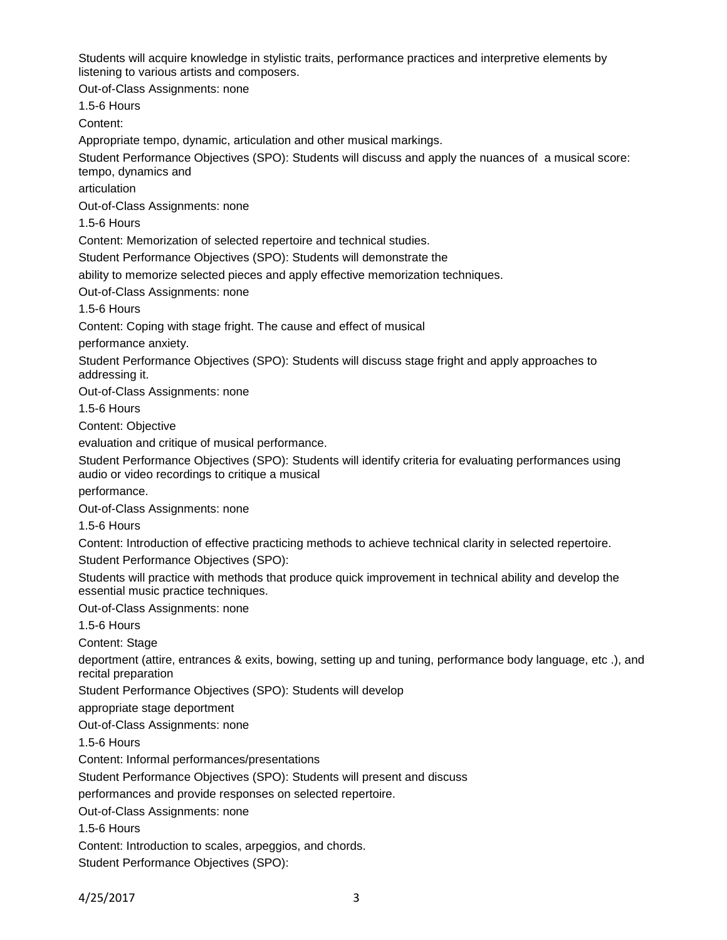Students will acquire knowledge in stylistic traits, performance practices and interpretive elements by listening to various artists and composers.

Out-of-Class Assignments: none

1.5-6 Hours

Content:

Appropriate tempo, dynamic, articulation and other musical markings.

Student Performance Objectives (SPO): Students will discuss and apply the nuances of a musical score: tempo, dynamics and

articulation

Out-of-Class Assignments: none

1.5-6 Hours

Content: Memorization of selected repertoire and technical studies.

Student Performance Objectives (SPO): Students will demonstrate the

ability to memorize selected pieces and apply effective memorization techniques.

Out-of-Class Assignments: none

1.5-6 Hours

Content: Coping with stage fright. The cause and effect of musical

performance anxiety.

Student Performance Objectives (SPO): Students will discuss stage fright and apply approaches to addressing it.

Out-of-Class Assignments: none

1.5-6 Hours

Content: Objective

evaluation and critique of musical performance.

Student Performance Objectives (SPO): Students will identify criteria for evaluating performances using audio or video recordings to critique a musical

performance.

Out-of-Class Assignments: none

1.5-6 Hours

Content: Introduction of effective practicing methods to achieve technical clarity in selected repertoire.

Student Performance Objectives (SPO):

Students will practice with methods that produce quick improvement in technical ability and develop the essential music practice techniques.

Out-of-Class Assignments: none

1.5-6 Hours

Content: Stage

deportment (attire, entrances & exits, bowing, setting up and tuning, performance body language, etc .), and recital preparation

Student Performance Objectives (SPO): Students will develop

appropriate stage deportment

Out-of-Class Assignments: none

1.5-6 Hours

Content: Informal performances/presentations

Student Performance Objectives (SPO): Students will present and discuss

performances and provide responses on selected repertoire.

Out-of-Class Assignments: none

1.5-6 Hours

Content: Introduction to scales, arpeggios, and chords.

Student Performance Objectives (SPO):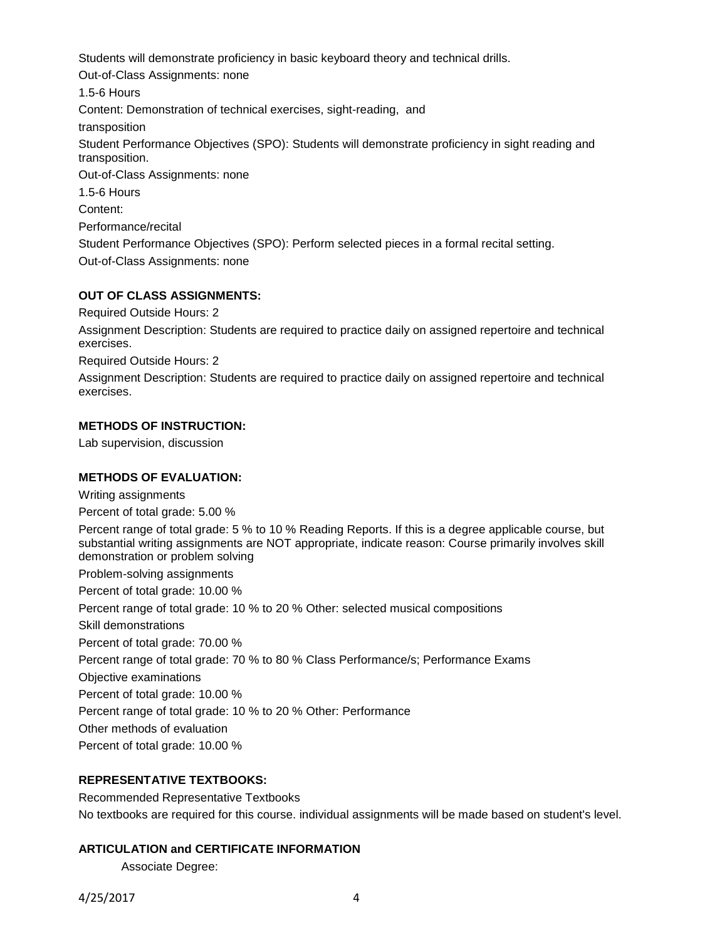Students will demonstrate proficiency in basic keyboard theory and technical drills. Out-of-Class Assignments: none 1.5-6 Hours Content: Demonstration of technical exercises, sight-reading, and transposition Student Performance Objectives (SPO): Students will demonstrate proficiency in sight reading and transposition. Out-of-Class Assignments: none 1.5-6 Hours Content: Performance/recital Student Performance Objectives (SPO): Perform selected pieces in a formal recital setting. Out-of-Class Assignments: none

# **OUT OF CLASS ASSIGNMENTS:**

Required Outside Hours: 2

Assignment Description: Students are required to practice daily on assigned repertoire and technical exercises.

Required Outside Hours: 2

Assignment Description: Students are required to practice daily on assigned repertoire and technical exercises.

### **METHODS OF INSTRUCTION:**

Lab supervision, discussion

### **METHODS OF EVALUATION:**

Writing assignments Percent of total grade: 5.00 % Percent range of total grade: 5 % to 10 % Reading Reports. If this is a degree applicable course, but substantial writing assignments are NOT appropriate, indicate reason: Course primarily involves skill demonstration or problem solving Problem-solving assignments Percent of total grade: 10.00 % Percent range of total grade: 10 % to 20 % Other: selected musical compositions Skill demonstrations Percent of total grade: 70.00 % Percent range of total grade: 70 % to 80 % Class Performance/s; Performance Exams Objective examinations Percent of total grade: 10.00 % Percent range of total grade: 10 % to 20 % Other: Performance Other methods of evaluation Percent of total grade: 10.00 %

### **REPRESENTATIVE TEXTBOOKS:**

Recommended Representative Textbooks No textbooks are required for this course. individual assignments will be made based on student's level.

### **ARTICULATION and CERTIFICATE INFORMATION**

Associate Degree: